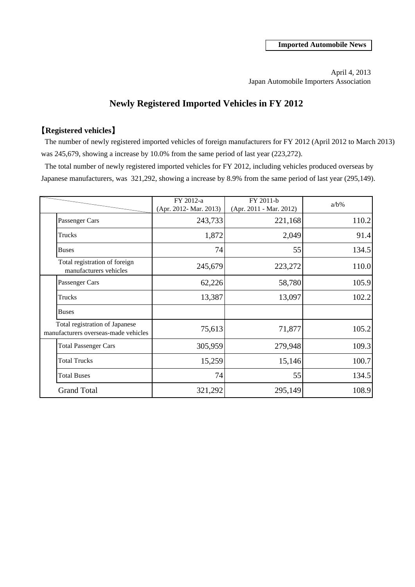April 4, 2013 Japan Automobile Importers Association

# **Newly Registered Imported Vehicles in FY 2012**

# 【**Registered vehicles**】

 The number of newly registered imported vehicles of foreign manufacturers for FY 2012 (April 2012 to March 2013) was 245,679, showing a increase by 10.0% from the same period of last year (223,272).

 The total number of newly registered imported vehicles for FY 2012, including vehicles produced overseas by Japanese manufacturers, was 321,292, showing a increase by 8.9% from the same period of last year (295,149).

|                                                                        | FY 2012-a<br>(Apr. 2012- Mar. 2013) | FY 2011-b<br>(Apr. 2011 - Mar. 2012) | $a/b\%$ |
|------------------------------------------------------------------------|-------------------------------------|--------------------------------------|---------|
| Passenger Cars                                                         | 243,733                             | 221,168                              | 110.2   |
| Trucks                                                                 | 1,872                               | 2,049                                | 91.4    |
| <b>Buses</b>                                                           | 74                                  | 55                                   | 134.5   |
| Total registration of foreign<br>manufacturers vehicles                | 245,679                             | 223,272                              | 110.0   |
| Passenger Cars                                                         | 62,226                              | 58,780                               | 105.9   |
| Trucks                                                                 | 13,387                              | 13,097                               | 102.2   |
| <b>Buses</b>                                                           |                                     |                                      |         |
| Total registration of Japanese<br>manufacturers overseas-made vehicles | 75,613                              | 71,877                               | 105.2   |
| <b>Total Passenger Cars</b>                                            | 305,959                             | 279,948                              | 109.3   |
| <b>Total Trucks</b>                                                    | 15,259                              | 15,146                               | 100.7   |
| <b>Total Buses</b>                                                     | 74                                  | 55                                   | 134.5   |
| <b>Grand Total</b>                                                     | 321,292                             | 295,149                              | 108.9   |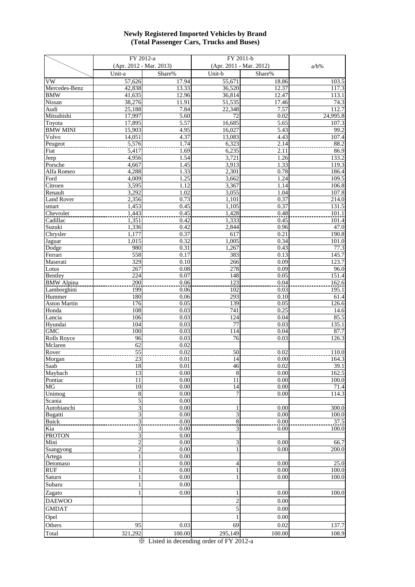#### **Newly Registered Imported Vehicles by Brand (Total Passenger Cars, Trucks and Buses)**

|                       | FY 2012-a                      |              | FY 2011-b               |              |                   |
|-----------------------|--------------------------------|--------------|-------------------------|--------------|-------------------|
|                       | (Apr. 2012 - Mar. 2013)        |              | (Apr. 2011 - Mar. 2012) |              | $a/b\%$           |
|                       | Unit-a                         | Share%       | Unit-b                  | Share%       |                   |
| VW                    | 57,626                         | 17.94        | 55,671                  | 18.86        | 103.5             |
| Mercedes-Benz         | 42,838                         | 13.33        | 36,520                  | 12.37        | 117.3             |
| <b>BMW</b>            | 41,635                         | 12.96        | 36,814                  | 12.47        | 113.1             |
| Nissan                | 38,276                         | 11.91        | 51,535                  | 17.46        | 74.3              |
| Audi<br>Mitsubishi    | 25,188<br>17,997               | 7.84<br>5.60 | 22,348<br>72            | 7.57<br>0.02 | 112.7<br>24,995.8 |
| Toyota                | 17,895                         | 5.57         | 16,685                  | 5.65         | 107.3             |
| <b>BMW MINI</b>       | 15,903                         | 4.95         | 16,027                  | 5.43         | 99.2              |
| Volvo                 | 14,051                         | 4.37         | 13,083                  | 4.43         | 107.4             |
| Peugeot               | 5,576                          | 1.74         | 6,323                   | 2.14         | 88.2              |
| Fiat                  | $\overline{5,417}$             | 1.69         | 6,235                   | 2.11         | 86.9              |
| Jeep                  | 4,956                          | 1.54         | 3,721                   | 1.26         | 133.2             |
| Porsche               | 4,667                          | 1.45         | 3,913                   | 1.33         | 119.3             |
| Alfa Romeo            | 4,288                          | 1.33         | 2,301                   | 0.78         | 186.4             |
| Ford                  | 4,009                          | 1.25         | 3,662                   | 1.24         | 109.5             |
| Citroen<br>Renault    | 3,595<br>3,292                 | 1.12<br>1.02 | 3,367<br>3,055          | 1.14<br>1.04 | 106.8<br>107.8    |
| <b>Land Rover</b>     | 2,356                          | 0.73         | 1,101                   | 0.37         | 214.0             |
| smart                 | 1,453                          | 0.45         | 1,105                   | 0.37         | 131.5             |
| Chevrolet             | 1,443                          | 0.45         | 1,428                   | 0.48         | 101.1             |
| Cadillac              | 1,351                          | 0.42         | 1,333                   | 0.45         | 101.4             |
| Suzuki                | 1,336                          | 0.42         | 2,844                   | 0.96         | 47.0              |
| Chrysler              | 1,177                          | 0.37         | 617                     | 0.21         | 190.8             |
| Jaguar                | 1,015                          | 0.32         | 1,005                   | 0.34         | 101.0             |
| Dodge                 | 980<br>558                     | 0.31<br>0.17 | 1,267<br>383            | 0.43<br>0.13 | 77.3              |
| Ferrari<br>Maserati   | 329                            | 0.10         | 266                     | 0.09         | 145.7<br>123.7    |
| Lotus                 | 267                            | 0.08         | 278                     | 0.09         | 96.0              |
| Bentley               | 224                            | 0.07         | 148                     | 0.05         | 151.4             |
| <b>BMW</b> Alpina     | $\overline{200}$               | 0.06         | 123                     | 0.04         | 162.6             |
| Lamborghini           | 199                            | 0.06         | 102                     | 0.03         | 195.1             |
| Hummer                | 180                            | 0.06         | 293                     | 0.10         | 61.4              |
| <b>Aston Martin</b>   | 176                            | 0.05         | 139                     | 0.05         | 126.6             |
| Honda                 | 108                            | 0.03         | 741                     | 0.25         | 14.6              |
| Lancia                | 106<br>104                     | 0.03<br>0.03 | 124<br>77               | 0.04<br>0.03 | 85.5<br>135.1     |
| Hyundai<br><b>GMC</b> | 100                            | 0.03         | 114                     | 0.04         | 87.7              |
| <b>Rolls Royce</b>    | 96                             | 0.03         | 76                      | 0.03         | 126.3             |
| Mclaren               | 62                             | 0.02         |                         |              |                   |
| Rover                 | 55                             | 0.02         | 50                      | 0.02         | 110.0             |
| Morgan                | 23                             | 0.01         | 14                      | 0.00         | 164.3             |
| <b>Saab</b>           | 18                             | 0.01         | $\overline{46}$         | 0.02         | 39.1              |
| Maybach               | 13                             | 0.00         | $\overline{8}$          | 0.00         | 162.5             |
| Pontiac<br>MG         | 11<br>10                       | 0.00<br>0.00 | 11<br>14                | 0.00<br>0.00 | 100.0<br>71.4     |
| Unimog                | 8                              | 0.00         | 7                       | 0.00         | 114.3             |
| Scania                | 5                              | 0.00         |                         |              |                   |
| Autobianchi           | 3                              | 0.00         |                         | 0.00         | 300.0             |
| <b>Bugatti</b>        | 3                              | 0.00         | 3                       | 0.00         | 100.0             |
| <b>Buick</b>          | 3                              | 0.00         | 8                       | 0.00         | 37.5              |
| Kia                   | 3                              | 0.00         | 3                       | 0.00         | 100.0             |
| <b>PROTON</b>         | 3                              | 0.00         |                         |              |                   |
| Mini                  | $\overline{c}$                 | 0.00         | 3<br>1                  | 0.00         | 66.7<br>200.0     |
| Ssangyong<br>Artega   | $\overline{2}$<br>$\mathbf{1}$ | 0.00<br>0.00 |                         | 0.00         |                   |
| Detomaso              |                                | 0.00         | 4                       | 0.00         | 25.0              |
| <b>RUF</b>            |                                | 0.00         |                         | 0.00         | 100.0             |
| Saturn                |                                | 0.00         | 1                       | 0.00         | 100.0             |
| Subaru                |                                | 0.00         |                         |              |                   |
| Zagato                |                                | 0.00         |                         | 0.00         | 100.0             |
| <b>DAEWOO</b>         |                                |              | 2                       | 0.00         |                   |
| <b>GMDAT</b>          |                                |              | 5                       | 0.00         |                   |
| Opel                  |                                |              | 1                       | 0.00         |                   |
|                       |                                |              |                         |              |                   |
| Others                | 95                             | 0.03         | 69                      | 0.02         | 137.7             |
| Total                 | 321,292                        | 100.00       | 295,149                 | 100.00       | 108.9             |

※ Listed in decending order of FY 2012-a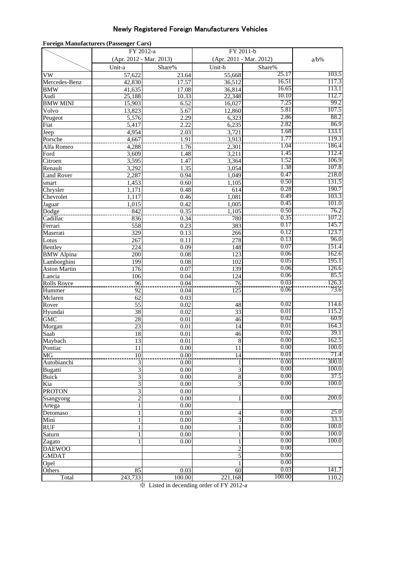## Newly Registered Foreign Manufacturers Vehicles

| <b>Foreign Manufacturers (Passenger Cars)</b> |                         |              |                  |                         |                |  |
|-----------------------------------------------|-------------------------|--------------|------------------|-------------------------|----------------|--|
|                                               | FY 2012-a               |              |                  | FY 2011-b               |                |  |
|                                               | (Apr. 2012 - Mar. 2013) |              |                  | (Apr. 2011 - Mar. 2012) |                |  |
|                                               | Unit-a                  | Share%       | Unit-b           | Share%                  |                |  |
| VW                                            | 57,622                  | 23.64        | 55,668           | 25.17                   | 103.5          |  |
| Mercedes-Benz                                 | 42,830                  | 17.57        | 36,512           | 16.51                   | 117.3          |  |
| BMW                                           | 41,635                  | 17.08        | 36,814           | 16.65                   | 113.1          |  |
| Audi                                          | 25,188                  | 10.33        | 22,348           | 10.10                   | 112.7          |  |
| <b>BMW MINI</b>                               | 15,903                  | 6.52         | 16,027           | 7.25                    | 99.2           |  |
| Volvo                                         | 13,823                  | 5.67         | 12,860           | 5.81                    | 107.5          |  |
| Peugeot                                       | 5,576                   | 2.29         | 6,323            | 2.86                    | 88.2           |  |
| Fiat                                          | 5,417                   | 2.22         | 6,235            | 2.82                    | 86.9           |  |
| Jeep                                          | 4,954                   | 2.03         | 3,721            | 1.68                    | 133.1          |  |
| Porsche                                       | 4,667                   | 1.91         | 3,913            | 1.77                    | 119.3          |  |
| Alfa Romeo                                    | 4,288                   | 1.76         | 2,301            | 1.04                    | 186.4          |  |
| Ford                                          | 3,609                   | 1.48         | 3,211            | 1.45                    | 112.4          |  |
| Citroen                                       | 3,595                   | 1.47         | 3,364            | 1.52                    | 106.9          |  |
| Renault                                       | 3,292                   | 1.35         | 3,054            | 1.38                    | 107.8          |  |
| <b>Land Rover</b>                             | 2,287                   | 0.94         | 1,049            | 0.47                    | 218.0          |  |
| smart                                         | 1,453                   | 0.60         | 1,105            | 0.50                    | 131.5          |  |
| Chrysler                                      | 1,171                   | 0.48         | 614              | 0.28<br>0.49            | 190.7<br>103.3 |  |
| $\overline{\text{Chevrolet}}$                 | 1,117                   | 0.46         | 1,081            | 0.45                    | 101.0          |  |
| Jaguar                                        | 1,015                   | 0.42         | 1,005            | 0.50                    | 76.2           |  |
| Dodge<br>Cadillac                             | 842<br>836              | 0.35         | 1,105<br>780     | 0.35                    | 107.2          |  |
|                                               | 558                     | 0.34<br>0.23 | 383              | 0.17                    | 145.7          |  |
| Ferrari<br>Maserati                           | 329                     | 0.13         | 266              | 0.12                    | 123.7          |  |
| Lotus                                         | 267                     | 0.11         | 278              | 0.13                    | 96.0           |  |
| Bentley                                       | 224                     | 0.09         | 148              | 0.07                    | 151.4          |  |
| <b>BMW</b> Alpina                             | 200                     | 0.08         | $\overline{123}$ | 0.06                    | 162.6          |  |
| Lamborghini                                   | 199                     | 0.08         | 102              | 0.05                    | 195.1          |  |
| <b>Aston Martin</b>                           | 176                     | 0.07         | 139              | 0.06                    | 126.6          |  |
| Lancia                                        | 106                     | 0.04         | 124              | 0.06                    | 85.5           |  |
| Rolls Royce                                   | 96                      | 0.04         | 76               | 0.03                    | 126.3          |  |
| Hummer                                        | 92                      | 0.04         | 125              | 0.06                    | 73.6           |  |
| Mclaren                                       | 62                      | 0.03         |                  |                         |                |  |
| Rover                                         | $\overline{55}$         | 0.02         | 48               | 0.02                    | 114.6          |  |
| Hyundai                                       | 38                      | 0.02         | $\overline{33}$  | 0.01                    | 115.2          |  |
| $\overline{\text{GMC}}$                       | 28                      | 0.01         | 46               | 0.02                    | 60.9           |  |
| Morgan                                        | $\overline{23}$         | 0.01         | 14               | 0.01                    | 164.3          |  |
| Saab                                          | $\overline{18}$         | 0.01         | 46               | 0.02                    | 39.1           |  |
| Maybach                                       | $\overline{13}$         | 0.01         | $\,$ 8 $\,$      | 0.00                    | 162.5          |  |
| Pontiac                                       | 11                      | $0.00\,$     | 11               | 0.00                    | 100.0          |  |
| MG                                            | $10\,$                  | 0.00         | 14               | 0.01                    | 71.4           |  |
| Autobianchi                                   | 3                       | 0.00         |                  | 0.00                    | 300.0          |  |
| Bugatti                                       | 3                       | 0.00         | 3                | 0.00                    | 100.0          |  |
| Buick                                         | $\overline{\mathbf{3}}$ | 0.00         | 8                | 0.00                    | 37.5           |  |
| Kia                                           | 3                       | 0.00         | 3                | 0.00                    | 100.0          |  |
| <b>PROTON</b>                                 | 3                       | 0.00         |                  |                         |                |  |
| Ssangyong                                     | $\overline{c}$          | 0.00         | 1                | 0.00                    | 200.0          |  |
| Artega                                        | $\mathbf{1}$            | 0.00         |                  |                         |                |  |
| Detomaso                                      | $\mathbf{1}$            | 0.00         | $\overline{4}$   | 0.00                    | 25.0           |  |
| Mini                                          | $\mathbf{1}$            | 0.00         | 3                | 0.00                    | 33.3           |  |
| RUF.                                          |                         | 0.00         |                  | 0.00<br>0.00            | 100.0          |  |
| Saturn                                        | ı                       | 0.00         |                  |                         | 100.0          |  |
| Zagato                                        | 1                       | 0.00         |                  | 0.00                    | 100.0          |  |
| <b>DAEWOO</b>                                 |                         |              | $\overline{c}$   | 0.00<br>0.00            |                |  |
| <b>GMDAT</b>                                  |                         |              | 5                | 0.00                    |                |  |
| Opel                                          |                         |              |                  | 0.03                    | 141.7          |  |
| Others                                        | 85                      | 0.03         | 60               | 100.00                  |                |  |
| Total                                         | 243,733                 | 100.00       | 221,168          |                         | 110.2          |  |

※ Listed in decending order of FY 2012-a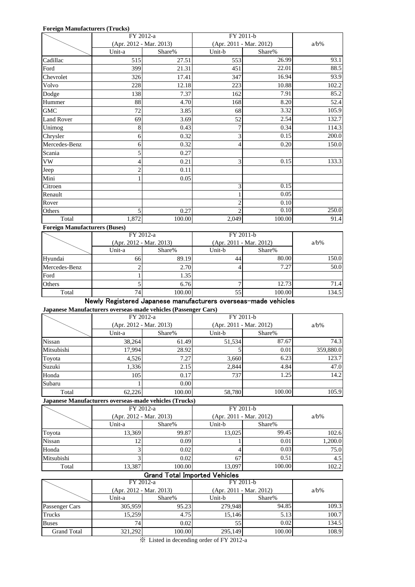#### **Foreign Manufacturers (Trucks)**

|                   |                | FY 2012-a               | FY 2011-b |                         |         |
|-------------------|----------------|-------------------------|-----------|-------------------------|---------|
|                   |                | (Apr. 2012 - Mar. 2013) |           | (Apr. 2011 - Mar. 2012) | $a/b\%$ |
|                   | Unit-a         | Share%                  | Unit-b    | Share%                  |         |
| Cadillac          | 515            | 27.51                   | 553       | 26.99                   | 93.1    |
| Ford              | 399            | 21.31                   | 451       | 22.01                   | 88.5    |
| Chevrolet         | 326            | 17.41                   | 347       | 16.94                   | 93.9    |
| Volvo             | 228            | 12.18                   | 223       | 10.88                   | 102.2   |
| Dodge             | 138            | 7.37                    | 162       | 7.91                    | 85.2    |
| Hummer            | 88             | 4.70                    | 168       | 8.20                    | 52.4    |
| <b>GMC</b>        | 72             | 3.85                    | 68        | 3.32                    | 105.9   |
| <b>Land Rover</b> | 69             | 3.69                    | 52        | 2.54                    | 132.7   |
| Unimog            | 8              | 0.43                    |           | 0.34                    | 114.3   |
| Chrysler          | 6              | 0.32                    | 3         | 0.15                    | 200.0   |
| Mercedes-Benz     | 6              | 0.32                    | 4         | 0.20                    | 150.0   |
| Scania            | 5              | 0.27                    |           |                         |         |
| VW                | 4              | 0.21                    | 3         | 0.15                    | 133.3   |
| Jeep              | $\overline{c}$ | 0.11                    |           |                         |         |
| Mini              |                | 0.05                    |           |                         |         |
| Citroen           |                |                         | 3         | 0.15                    |         |
| Renault           |                |                         |           | 0.05                    |         |
| Rover             |                |                         | 2         | 0.10                    |         |
| Others            | 5              | 0.27                    | 2         | 0.10                    | 250.0   |
| Total             | 1,872          | 100.00                  | 2,049     | 100.00                  | 91.4    |

#### **Foreign Manufacturers (Buses)**

| $\overline{\phantom{a}}$ | FY 2012-a                 |        | FY 2011-b               |         |       |
|--------------------------|---------------------------|--------|-------------------------|---------|-------|
|                          | $(Apr. 2012 - Mar. 2013)$ |        | (Apr. 2011 - Mar. 2012) | $a/b\%$ |       |
|                          | Unit-a                    | Share% | Unit-b                  | Share%  |       |
| Hyundai                  | 66I                       | 89.19  | 44                      | 80.00   | 150.0 |
| Mercedes-Benz            |                           | 2.70   |                         | 7.27    | 50.0  |
| Ford                     |                           | 1.35   |                         |         |       |
| Others                   |                           | 6.76   |                         | 12.73   | 71.4  |
| Total                    | 74                        | 100.00 | 55                      | 100.00  | 134.5 |

### Newly Registered Japanese manufacturers overseas-made vehicles

**Japanese Manufacturers overseas-made vehicles (Passenger Cars)**

|            | FY 2012-a                 |        | FY 2011-b |                         |           |  |
|------------|---------------------------|--------|-----------|-------------------------|-----------|--|
|            | $(Apr. 2012 - Mar. 2013)$ |        |           | (Apr. 2011 - Mar. 2012) |           |  |
|            | Unit-a                    | Share% | Unit-b    | Share%                  |           |  |
| Nissan     | 38,264                    | 61.49  | 51,534    | 87.67                   | 74.3      |  |
| Mitsubishi | 17.994                    | 28.92  |           | 0.01                    | 359,880.0 |  |
| Toyota     | 4.526                     | 7.27   | 3,660     | 6.23                    | 123.7     |  |
| Suzuki     | 1,336                     | 2.15   | 2,844     | 4.84                    | 47.0      |  |
| Honda      | 105                       | 0.17   | 737       | 1.25                    | 14.2      |  |
| Subaru     |                           | 0.00   |           |                         |           |  |
| Total      | 62,226                    | 100.00 | 58,780    | 100.00                  | 105.9     |  |

**Japanese Manufacturers overseas-made vehicles (Trucks)**

|               | FY 2012-a<br>$(Apr. 2012 - Mar. 2013)$ |        | FY 2011-b               |         |         |
|---------------|----------------------------------------|--------|-------------------------|---------|---------|
|               |                                        |        | (Apr. 2011 - Mar. 2012) | $a/b\%$ |         |
|               | Unit-a                                 | Share% | Unit-b                  | Share%  |         |
| Toyota        | 13.369                                 | 99.87  | 13.025                  | 99.45   | 102.6   |
| <b>Nissan</b> | 12                                     | 0.09   |                         | 0.01    | 1,200.0 |
| Honda         |                                        | 0.02   |                         | 0.03    | 75.0    |
| Mitsubishi    |                                        | 0.02   | 67                      | 0.51    | 4.5     |
| Total         | 13,387                                 | 100.00 | 13,097                  | 100.00  | 102.2   |

#### Grand Total Imported Vehicles

|                    | FY 2012-a                 |        | FY 2011-b               |         |       |
|--------------------|---------------------------|--------|-------------------------|---------|-------|
|                    | $(Apr. 2012 - Mar. 2013)$ |        | (Apr. 2011 - Mar. 2012) | $a/b\%$ |       |
|                    | Unit-a                    | Share% | Unit-b                  | Share%  |       |
| Passenger Cars     | 305,959                   | 95.23  | 279,948                 | 94.85   | 109.3 |
| Trucks             | 15,259                    | 4.75   | 15.146                  | 5.13    | 100.7 |
| <b>Buses</b>       | 74 <sub>l</sub>           | 0.02   | 55                      | 0.02    | 134.5 |
| <b>Grand Total</b> | 321,292                   | 100.00 | 295,149                 | 100.00  | 108.9 |

※ Listed in decending order of FY 2012-a